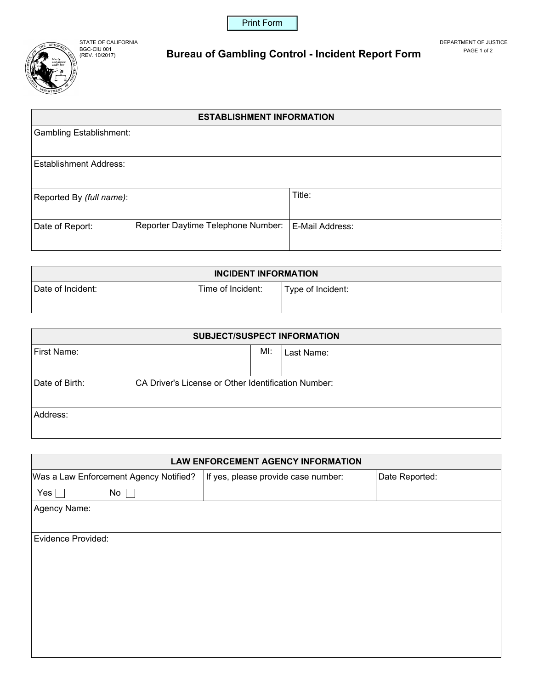



STATE OF CALIFORNIA DEPARTMENT OF JUSTICE BGC-CIU 001 **Bureau of Gambling Control - Incident Report Form PAGE 1 of 2** 

## **ESTABLISHMENT INFORMATION**

| <b>Gambling Establishment:</b> |                                    |                 |
|--------------------------------|------------------------------------|-----------------|
|                                |                                    |                 |
| Establishment Address:         |                                    |                 |
|                                |                                    |                 |
| Reported By (full name):       |                                    | Title:          |
|                                |                                    |                 |
| Date of Report:                | Reporter Daytime Telephone Number: | E-Mail Address: |
|                                |                                    |                 |

| <b>INCIDENT INFORMATION</b> |                   |                   |  |  |
|-----------------------------|-------------------|-------------------|--|--|
| Date of Incident:           | Time of Incident: | Type of Incident: |  |  |
|                             |                   |                   |  |  |

| <b>SUBJECT/SUSPECT INFORMATION</b> |                                                     |     |            |  |  |  |
|------------------------------------|-----------------------------------------------------|-----|------------|--|--|--|
| First Name:                        |                                                     | MI: | Last Name: |  |  |  |
|                                    |                                                     |     |            |  |  |  |
| Date of Birth:                     | CA Driver's License or Other Identification Number: |     |            |  |  |  |
| Address:                           |                                                     |     |            |  |  |  |

| <b>LAW ENFORCEMENT AGENCY INFORMATION</b> |                                     |                |  |  |  |  |  |
|-------------------------------------------|-------------------------------------|----------------|--|--|--|--|--|
| Was a Law Enforcement Agency Notified?    | If yes, please provide case number: | Date Reported: |  |  |  |  |  |
| Yes $\Box$<br>$No \Box$                   |                                     |                |  |  |  |  |  |
| Agency Name:                              |                                     |                |  |  |  |  |  |
|                                           |                                     |                |  |  |  |  |  |
| <b>Evidence Provided:</b>                 |                                     |                |  |  |  |  |  |
|                                           |                                     |                |  |  |  |  |  |
|                                           |                                     |                |  |  |  |  |  |
|                                           |                                     |                |  |  |  |  |  |
|                                           |                                     |                |  |  |  |  |  |
|                                           |                                     |                |  |  |  |  |  |
|                                           |                                     |                |  |  |  |  |  |
|                                           |                                     |                |  |  |  |  |  |